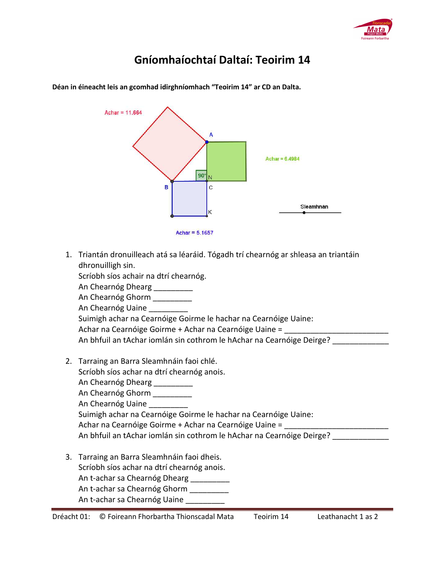

## **Gníomhaíochtaí Daltaí: Teoirim 14**

|    | Achar = $11.664$<br>Achar = $6.4984$<br>$90^\circ$<br>N<br>C<br>в<br>Sleamhnán<br>κ<br>Achar = $5.1657$                                                                                                                                                                                                                                                                                                                                   |  |
|----|-------------------------------------------------------------------------------------------------------------------------------------------------------------------------------------------------------------------------------------------------------------------------------------------------------------------------------------------------------------------------------------------------------------------------------------------|--|
| 1. | Triantán dronuilleach atá sa léaráid. Tógadh trí chearnóg ar shleasa an triantáin<br>dhronuilligh sin.<br>Scríobh síos achair na dtrí chearnóg.<br>An Chearnóg Dhearg _________<br>An Chearnóg Ghorm _________<br>An Chearnóg Uaine<br>Suimigh achar na Cearnóige Goirme le hachar na Cearnóige Uaine:<br>Achar na Cearnóige Goirme + Achar na Cearnóige Uaine =<br>An bhfuil an tAchar iomlán sin cothrom le hAchar na Cearnóige Deirge? |  |
|    | 2. Tarraing an Barra Sleamhnáin faoi chlé.<br>Scríobh síos achar na dtrí chearnóg anois.<br>An Chearnóg Dhearg<br>An Chearnóg Ghorm                                                                                                                                                                                                                                                                                                       |  |

**Déan in éineacht leis an gcomhad idirghníomhach "Teoirim 14" ar CD an Dalta.** 

Suimigh achar na Cearnóige Goirme le hachar na Cearnóige Uaine: Achar na Cearnóige Goirme + Achar na Cearnóige Uaine = \_\_\_\_\_\_

An bhfuil an tAchar iomlán sin cothrom le hAchar na Cearnóige Deirge? \_\_\_\_\_\_\_\_\_\_

3. Tarraing an Barra Sleamhnáin faoi dheis. Scríobh síos achar na dtrí chearnóg anois. An t-achar sa Chearnóg Dhearg \_\_\_\_\_\_\_\_\_\_ An t-achar sa Chearnóg Ghorm \_\_\_\_\_\_\_\_\_ An t-achar sa Chearnóg Uaine \_\_\_\_\_\_\_\_\_\_

An Chearnóg Uaine